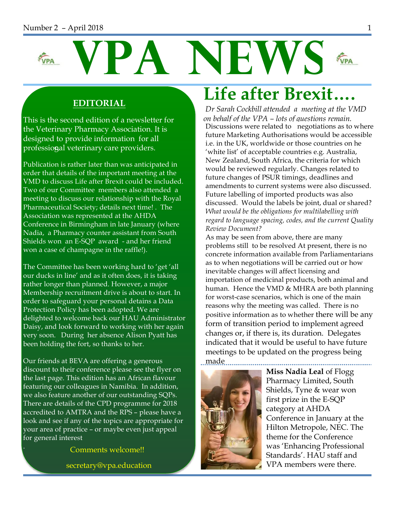#### Number 2 – April 2018 1



#### **EDITORIAL**

professio**g**al veterinary care providers. This is the second edition of a newsletter for the Veterinary Pharmacy Association. It is designed to provide information for all

Publication is rather later than was anticipated in order that details of the important meeting at the VMD to discuss Life after Brexit could be included. Two of our Committee members also attended a meeting to discuss our relationship with the Royal Pharmaceutical Society; details next time! . The Association was represented at the AHDA Conference in Birmingham in late January (where Nadia, a Pharmacy counter assistant from South Shields won an E-SQP award - and her friend won a case of champagne in the raffle!).

The Committee has been working hard to 'get 'all our ducks in line' and as it often does, it is taking rather longer than planned. However, a major Membership recruitment drive is about to start. In order to safeguard your personal detains a Data Protection Policy has been adopted. We are delighted to welcome back our HAU Administrator Daisy, and look forward to working with her again very soon. During her absence Alison Pyatt has been holding the fort, so thanks to her.

Our friends at BEVA are offering a generous discount to their conference please see the flyer on the last page. This edition has an African flavour featuring our colleagues in Namibia. In addition, we also feature another of our outstanding SQPs. There are details of the CPD programme for 2018 accredited to AMTRA and the RPS – please have a look and see if any of the topics are appropriate for your area of practice – or maybe even just appeal for general interest

Comments welcome!!

secretary@vpa.education

## **Life after Brexit….**

*Dr Sarah Cockbill attended a meeting at the VMD on behalf of the VPA – lots of questions remain.* Discussions were related to negotiations as to where future Marketing Authorisations would be accessible i.e. in the UK, worldwide or those countries on he 'white list' of acceptable countries e.g. Australia, New Zealand, South Africa, the criteria for which would be reviewed regularly. Changes related to future changes of PSUR timings, deadlines and amendments to current systems were also discussed. Future labelling of imported products was also discussed. Would the labels be joint, dual or shared? *What would be the obligations for multilabelling with regard to language spacing, codes, and the current Quality Review Document?*

As may be seen from above, there are many problems still to be resolved At present, there is no concrete information available from Parliamentarians as to when negotiations will be carried out or how inevitable changes will affect licensing and importation of medicinal products, both animal and human. Hence the VMD & MHRA are both planning for worst-case scenarios, which is one of the main reasons why the meeting was called. There is no positive information as to whether there will be any form of transition period to implement agreed changes or, if there is, its duration. Delegates indicated that it would be useful to have future meetings to be updated on the progress being



**Miss Nadia Leal** of Flogg Pharmacy Limited, South Shields, Tyne & wear won first prize in the E-SQP category at AHDA Conference in January at the Hilton Metropole, NEC. The theme for the Conference was 'Enhancing Professional Standards'. HAU staff and VPA members were there.

. . . . . . . . . . . . . .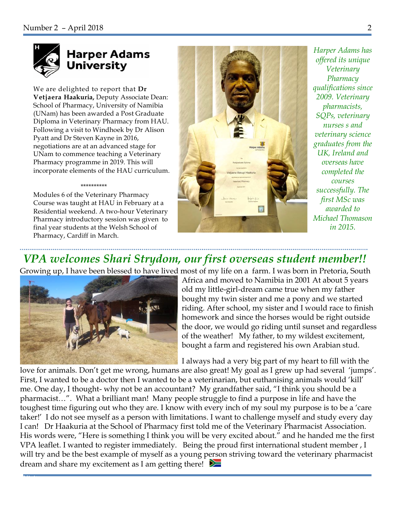

## **Harper Adams University**

We are delighted to report that **Dr Vetjaera Haakuria,** Deputy Associate Dean: School of Pharmacy, University of Namibia (UNam) has been awarded a Post Graduate Diploma in Veterinary Pharmacy from HAU. Following a visit to Windhoek by Dr Alison Pyatt and Dr Steven Kayne in 2016, negotiations are at an advanced stage for UNam to commence teaching a Veterinary Pharmacy programme in 2019. This will incorporate elements of the HAU curriculum.

#### \*\*\*\*\*\*\*\*\*\*

Modules 6 of the Veterinary Pharmacy Course was taught at HAU in February at a Residential weekend. A two-hour Veterinary Pharmacy introductory session was given to final year students at the Welsh School of Pharmacy, Cardiff in March.



*Harper Adams has offered its unique Veterinary Pharmacy qualifications since 2009. Veterinary pharmacists, SQPs, veterinary nurses s and veterinary science graduates from the UK, Ireland and overseas have completed the courses successfully. The first MSc was awarded to Michael Thomason in 2015.*

## *VPA welcomes Shari Strydom, our first overseas student member!!*

Growing up, I have been blessed to have lived most of my life on a farm. I was born in Pretoria, South



Visit

Africa and moved to Namibia in 2001 At about 5 years old my little-girl-dream came true when my father bought my twin sister and me a pony and we started riding. After school, my sister and I would race to finish homework and since the horses would be right outside the door, we would go riding until sunset and regardless of the weather! My father, to my wildest excitement, bought a farm and registered his own Arabian stud.

I always had a very big part of my heart to fill with the

love for animals. Don't get me wrong, humans are also great! My goal as I grew up had several 'jumps'. First, I wanted to be a doctor then I wanted to be a veterinarian, but euthanising animals would 'kill' me. One day, I thought- why not be an accountant? My grandfather said, "I think you should be a pharmacist…". What a brilliant man! Many people struggle to find a purpose in life and have the toughest time figuring out who they are. I know with every inch of my soul my purpose is to be a 'care taker!' I do not see myself as a person with limitations. I want to challenge myself and study every day I can! Dr Haakuria at the School of Pharmacy first told me of the Veterinary Pharmacist Association. His words were, "Here is something I think you will be very excited about." and he handed me the first VPA leaflet. I wanted to register immediately. Being the proud first international student member , I will try and be the best example of myself as a young person striving toward the veterinary pharmacist dream and share my excitement as I am getting there!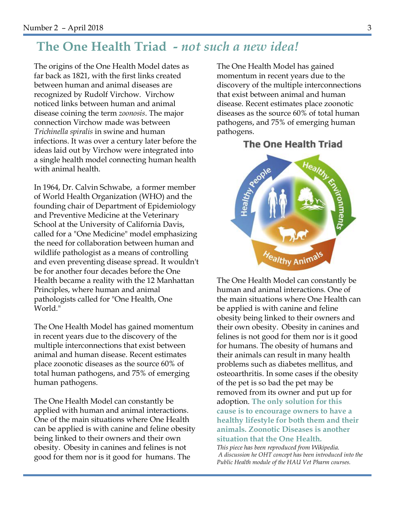### **The One Health Triad** *- not such a new idea!*

The origins of the One Health Model dates as far back as 1821, with the first links created between human and animal diseases are recognized by Rudolf Virchow. Virchow noticed links between human and animal disease coining the term *zoonosis*. The major connection Virchow made was between *Trichinella spiralis* in swine and human infections. It was over a century later before the ideas laid out by Virchow were integrated into a single health model connecting human health with animal health.

In 1964, Dr. Calvin Schwabe, a former member of World Health Organization (WHO) and the founding chair of Department of Epidemiology and Preventive Medicine at the Veterinary School at the University of California Davis, called for a "One Medicine" model emphasizing the need for collaboration between human and wildlife pathologist as a means of controlling and even preventing disease spread. It wouldn't be for another four decades before the One Health became a reality with the 12 Manhattan Principles, where human and animal pathologists called for "One Health, One World."

The One Health Model has gained momentum in recent years due to the discovery of the multiple interconnections that exist between animal and human disease. Recent estimates place zoonotic diseases as the source 60% of total human pathogens, and 75% of emerging human pathogens.

The One Health Model can constantly be applied with human and animal interactions. One of the main situations where One Health can be applied is with canine and feline obesity being linked to their owners and their own obesity. Obesity in canines and felines is not good for them nor is it good for humans. The

The One Health Model has gained momentum in recent years due to the discovery of the multiple interconnections that exist between animal and human disease. Recent estimates place zoonotic diseases as the source 60% of total human pathogens, and 75% of emerging human pathogens.

#### **The One Health Triad**



The One Health Model can constantly be human and animal interactions. One of the main situations where One Health can be applied is with canine and feline obesity being linked to their owners and their own obesity. Obesity in canines and felines is not good for them nor is it good for humans. The obesity of humans and their animals can result in many health problems such as diabetes mellitus, and osteoarthritis. In some cases if the obesity of the pet is so bad the pet may be removed from its owner and put up for adoption. **The only solution for this cause is to encourage owners to have a healthy lifestyle for both them and their animals. Zoonotic Diseases is another situation that the One Health.**

*This piece has been reproduced from Wikipedia. A discussion he OHT concept has been introduced into the Public Health module of the HAU Vet Pharm courses.*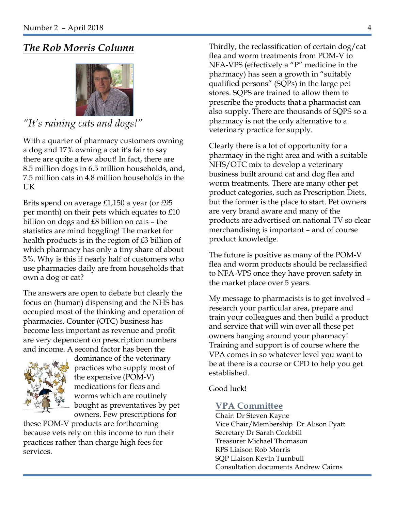### *The Rob Morris Column*



#### *"It's raining cats and dogs!"*

With a quarter of pharmacy customers owning a dog and 17% owning a cat it's fair to say there are quite a few about! In fact, there are 8.5 million dogs in 6.5 million households, and, 7.5 million cats in 4.8 million households in the UK

Brits spend on average £1,150 a year (or £95 per month) on their pets which equates to £10 billion on dogs and £8 billion on cats – the statistics are mind boggling! The market for health products is in the region of £3 billion of which pharmacy has only a tiny share of about 3%. Why is this if nearly half of customers who use pharmacies daily are from households that own a dog or cat?

The answers are open to debate but clearly the focus on (human) dispensing and the NHS has occupied most of the thinking and operation of pharmacies. Counter (OTC) business has become less important as revenue and profit are very dependent on prescription numbers and income. A second factor has been the



dominance of the veterinary practices who supply most of the expensive (POM-V) medications for fleas and worms which are routinely bought as preventatives by pet owners. Few prescriptions for

these POM-V products are forthcoming because vets rely on this income to run their practices rather than charge high fees for services.

Thirdly, the reclassification of certain dog/cat flea and worm treatments from POM-V to NFA-VPS (effectively a "P" medicine in the pharmacy) has seen a growth in "suitably qualified persons" (SQPs) in the large pet stores. SQPS are trained to allow them to prescribe the products that a pharmacist can also supply. There are thousands of SQPS so a pharmacy is not the only alternative to a veterinary practice for supply.

Clearly there is a lot of opportunity for a pharmacy in the right area and with a suitable NHS/OTC mix to develop a veterinary business built around cat and dog flea and worm treatments. There are many other pet product categories, such as Prescription Diets, but the former is the place to start. Pet owners are very brand aware and many of the products are advertised on national TV so clear merchandising is important – and of course product knowledge.

The future is positive as many of the POM-V flea and worm products should be reclassified to NFA-VPS once they have proven safety in the market place over 5 years.

My message to pharmacists is to get involved – research your particular area, prepare and train your colleagues and then build a product and service that will win over all these pet owners hanging around your pharmacy! Training and support is of course where the VPA comes in so whatever level you want to be at there is a course or CPD to help you get established.

Good luck!

#### **VPA Committee**

Chair: Dr Steven Kayne Vice Chair/Membership Dr Alison Pyatt Secretary Dr Sarah Cockbill Treasurer Michael Thomason RPS Liaison Rob Morris SQP Liaison Kevin Turnbull Consultation documents Andrew Cairns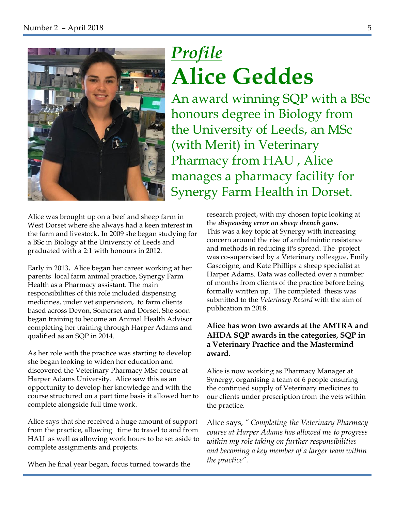

# *Profile*  **Alice Geddes**

An award winning SQP with a BSc honours degree in Biology from the University of Leeds, an MSc (with Merit) in Veterinary Pharmacy from HAU , Alice manages a pharmacy facility for Synergy Farm Health in Dorset.

Alice was brought up on a beef and sheep farm in West Dorset where she always had a keen interest in the farm and livestock. In 2009 she began studying for a BSc in Biology at the University of Leeds and graduated with a 2:1 with honours in 2012.

Early in 2013, Alice began her career working at her parents' local farm animal practice, Synergy Farm Health as a Pharmacy assistant. The main responsibilities of this role included dispensing medicines, under vet supervision, to farm clients based across Devon, Somerset and Dorset. She soon began training to become an Animal Health Advisor completing her training through Harper Adams and qualified as an SQP in 2014.

As her role with the practice was starting to develop she began looking to widen her education and discovered the Veterinary Pharmacy MSc course at Harper Adams University. Alice saw this as an opportunity to develop her knowledge and with the course structured on a part time basis it allowed her to complete alongside full time work.

Alice says that she received a huge amount of support from the practice, allowing time to travel to and from HAU as well as allowing work hours to be set aside to complete assignments and projects.

When he final year began, focus turned towards the

research project, with my chosen topic looking at the *dispensing error on sheep drench guns.* This was a key topic at Synergy with increasing concern around the rise of anthelmintic resistance and methods in reducing it's spread. The project was co-supervised by a Veterinary colleague, Emily Gascoigne, and Kate Phillips a sheep specialist at Harper Adams. Data was collected over a number of months from clients of the practice before being formally written up. The completed thesis was submitted to the *Veterinary Record* with the aim of publication in 2018.

#### **Alice has won two awards at the AMTRA and AHDA SQP awards in the categories, SQP in a Veterinary Practice and the Mastermind award.**

Alice is now working as Pharmacy Manager at Synergy, organising a team of 6 people ensuring the continued supply of Veterinary medicines to our clients under prescription from the vets within the practice.

Alice says, *" Completing the Veterinary Pharmacy course at Harper Adams has allowed me to progress within my role taking on further responsibilities and becoming a key member of a larger team within the practice".*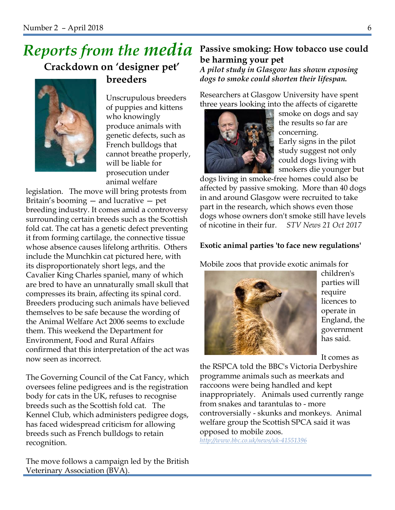## *Reports from the media*

 **Crackdown on 'designer pet' breeders**



Unscrupulous breeders of puppies and kittens who knowingly produce animals with genetic defects, such as French bulldogs that cannot breathe properly, will be liable for prosecution under animal welfare

legislation. The move will bring protests from Britain's booming — and lucrative — pet breeding industry. It comes amid a controversy surrounding certain breeds such as the Scottish fold cat. The cat has a genetic defect preventing it from forming cartilage, the connective tissue whose absence causes lifelong arthritis. Others include the Munchkin cat pictured here, with its disproportionately short legs, and the Cavalier King Charles spaniel, many of which are bred to have an unnaturally small skull that compresses its brain, affecting its spinal cord. Breeders producing such animals have believed themselves to be safe because the wording of the Animal Welfare Act 2006 seems to exclude them. This weekend the Department for Environment, Food and Rural Affairs confirmed that this interpretation of the act was now seen as incorrect.

The Governing Council of the Cat Fancy, which oversees feline pedigrees and is the registration body for cats in the UK, refuses to recognise breeds such as the Scottish fold cat. The Kennel Club, which administers pedigree dogs, has faced widespread criticism for allowing breeds such as French bulldogs to retain recognition.

The move follows a campaign led by the British Veterinary Association (BVA).

### **Passive smoking: How tobacco use could be harming your pet**

*A pilot study in Glasgow has shown exposing dogs to smoke could shorten their lifespan.*

Researchers at Glasgow University have spent three years looking into the affects of cigarette



smoke on dogs and say the results so far are concerning.

Early signs in the pilot study suggest not only could dogs living with smokers die younger but

dogs living in smoke-free homes could also be affected by passive smoking. More than 40 dogs in and around Glasgow were recruited to take part in the research, which shows even those dogs whose owners don't smoke still have levels of nicotine in their fur. *STV News 21 Oct 2017*

#### **Exotic animal parties 'to face new regulations'**

Mobile zoos that provide exotic animals for



children's parties will require licences to operate in England, the government has said.

It comes as

the RSPCA told the BBC's Victoria Derbyshire programme animals such as meerkats and raccoons were being handled and kept inappropriately. Animals used currently range from snakes and tarantulas to - more controversially - skunks and monkeys. Animal welfare group the Scottish SPCA said it was opposed to mobile zoos.

*http://www.bbc.co.uk/news/uk-41551396*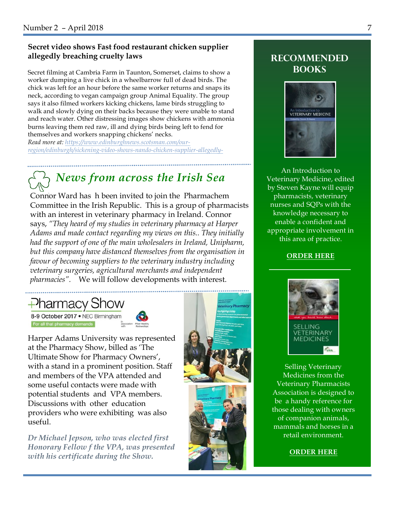#### **Secret video shows Fast food restaurant chicken supplier allegedly breaching cruelty laws**

Secret filming at Cambria Farm in Taunton, Somerset, claims to show a worker dumping a live chick in a wheelbarrow full of dead birds. The chick was left for an hour before the same worker returns and snaps its neck, according to vegan campaign group Animal Equality. The group says it also filmed workers kicking chickens, lame birds struggling to walk and slowly dying on their backs because they were unable to stand and reach water. Other distressing images show chickens with ammonia burns leaving them red raw, ill and dying birds being left to fend for themselves and workers snapping chickens' necks.

*Read more at: https://www.edinburghnews.scotsman.com/ourregion/edinburgh/sickening-video-shows-nando-chicken-supplier-allegedly-*

## *News from across the Irish Sea*

Connor Ward has h been invited to join the Pharmachem Committee in the Irish Republic. This is a group of pharmacists with an interest in veterinary pharmacy in Ireland. Connor says, *"They heard of my studies in veterinary pharmacy at Harper Adams and made contact regarding my views on this.. They initially had the support of one of the main wholesalers in Ireland, Unipharm, but this company have distanced themselves from the organisation in favour of becoming suppliers to the veterinary industry including veterinary surgeries, agricultural merchants and independent pharmacies".* We will follow developments with interest.

 $\rightarrow$  Pharmacy Show

8-9 October 2017 . NEC Birmingham For all that pharmacy demands



Harper Adams University was represented at the Pharmacy Show, billed as 'The Ultimate Show for Pharmacy Owners', with a stand in a prominent position. Staff and members of the VPA attended and some useful contacts were made with potential students and VPA members. Discussions with other education providers who were exhibiting was also useful.

*Dr Michael Jepson, who was elected first Honorary Fellow f the VPA, was presented with his certificate during the Show.*



.....................................



#### **Recommended books**



An Introduction to Veterinary Medicine, edited by Steven Kayne will equip pharmacists, veterinary nurses and SQPs with the knowledge necessary to enable a confident and appropriate involvement in this area of practice.

**ORDER HERE**



Selling Veterinary Medicines from the Veterinary Pharmacists Association is designed to be a handy reference for those dealing with owners of companion animals, mammals and horses in a retail environment.

**ORDER HERE**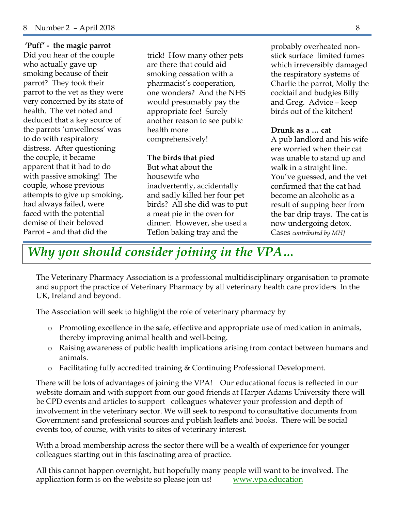**'Puff' - the magic parrot**

Did you hear of the couple who actually gave up smoking because of their parrot? They took their parrot to the vet as they were very concerned by its state of health. The vet noted and deduced that a key source of the parrots 'unwellness' was to do with respiratory distress. After questioning the couple, it became apparent that it had to do with passive smoking! The couple, whose previous attempts to give up smoking, had always failed, were faced with the potential demise of their beloved Parrot – and that did the

trick! How many other pets are there that could aid smoking cessation with a pharmacist's cooperation, one wonders? And the NHS would presumably pay the appropriate fee! Surely another reason to see public health more comprehensively!

#### **The birds that pied**

But what about the housewife who inadvertently, accidentally and sadly killed her four pet birds? All she did was to put a meat pie in the oven for dinner. However, she used a Teflon baking tray and the

probably overheated nonstick surface limited fumes which irreversibly damaged the respiratory systems of Charlie the parrot, Molly the cocktail and budgies Billy and Greg. Advice – keep birds out of the kitchen!

#### **Drunk as a … cat**

A pub landlord and his wife ere worried when their cat was unable to stand up and walk in a straight line. You've guessed, and the vet confirmed that the cat had become an alcoholic as a result of supping beer from the bar drip trays. The cat is now undergoing detox. Cases *contributed by MHJ* 

*Why you should consider joining in the VPA…*

The Veterinary Pharmacy Association is a professional multidisciplinary organisation to promote and support the practice of Veterinary Pharmacy by all veterinary health care providers. In the UK, Ireland and beyond.

The Association will seek to highlight the role of veterinary pharmacy by

- o Promoting excellence in the safe, effective and appropriate use of medication in animals, thereby improving animal health and well-being.
- o Raising awareness of public health implications arising from contact between humans and animals.
- Facilitating fully accredited training & Continuing Professional Development.

There will be lots of advantages of joining the VPA! Our educational focus is reflected in our website domain and with support from our good friends at Harper Adams University there will be CPD events and articles to support colleagues whatever your profession and depth of involvement in the veterinary sector. We will seek to respond to consultative documents from Government sand professional sources and publish leaflets and books. There will be social events too, of course, with visits to sites of veterinary interest.

With a broad membership across the sector there will be a wealth of experience for younger colleagues starting out in this fascinating area of practice.

All this cannot happen overnight, but hopefully many people will want to be involved. The application form is on the website so please join us! www.vpa.education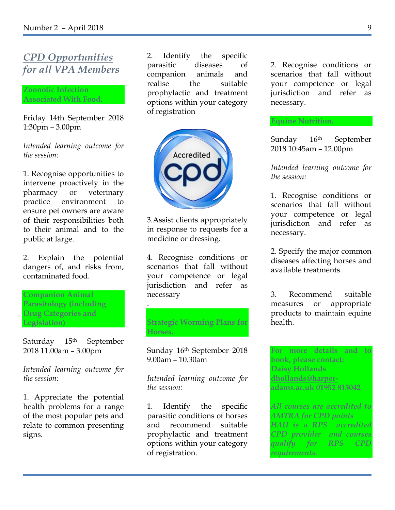### *CPD Opportunities for all VPA Members*

**Zoonotic Infection Associated With Food.**

Friday 14th September 2018 1:30pm – 3.00pm

*Intended learning outcome for the session:*

1. Recognise opportunities to intervene proactively in the pharmacy or veterinary practice environment to ensure pet owners are aware of their responsibilities both to their animal and to the public at large.

2. Explain the potential dangers of, and risks from, contaminated food.

**Companion Animal Parasitology (including Drug Categories and Legislation)**

Saturday 15<sup>th</sup> September 2018 11.00am – 3.00pm

*Intended learning outcome for the session:*

1. Appreciate the potential health problems for a range of the most popular pets and relate to common presenting signs.

2. Identify the specific parasitic diseases of companion animals and realise the suitable prophylactic and treatment options within your category of registration



3.Assist clients appropriately in response to requests for a medicine or dressing.

4. Recognise conditions or scenarios that fall without your competence or legal jurisdiction and refer as necessary

**Strategic Worming Plans for Horses.**

.

Sunday 16th September 2018 9.00am – 10.30am

*Intended learning outcome for the session:*

1. Identify the specific parasitic conditions of horses and recommend suitable prophylactic and treatment options within your category of registration.

2. Recognise conditions or scenarios that fall without your competence or legal jurisdiction and refer as necessary.

Sunday 16th September 2018 10:45am – 12.00pm

**Equine Nutrition.**

*Intended learning outcome for the session:*

1. Recognise conditions or scenarios that fall without your competence or legal jurisdiction and refer as necessary.

2. Specify the major common diseases affecting horses and available treatments.

3. Recommend suitable measures or appropriate products to maintain equine health.

**For more details and to book, please contact: Daisy Hollands dhollands@harperadams.ac.uk 01952 815042**

*All courses are accredited to AMTRA for CPD points HAU is a RPS accredited CPD provider and courses qualify for RPS CPD requirements.*